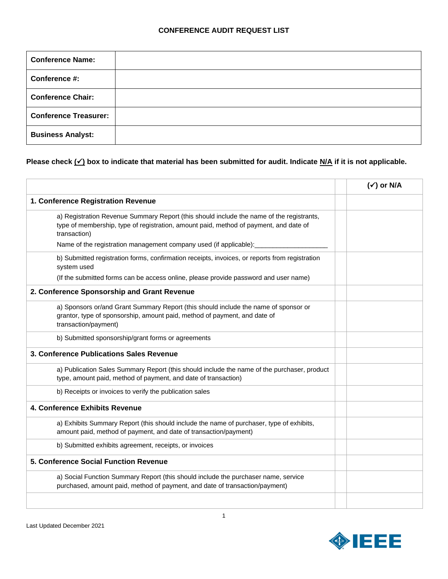| <b>Conference Name:</b>      |  |
|------------------------------|--|
| Conference #:                |  |
| <b>Conference Chair:</b>     |  |
| <b>Conference Treasurer:</b> |  |
| <b>Business Analyst:</b>     |  |

## **Please check (**✓**) box to indicate that material has been submitted for audit. Indicate N/A if it is not applicable.**

|                                                                                                                                                                                                   | $(\checkmark)$ or N/A |
|---------------------------------------------------------------------------------------------------------------------------------------------------------------------------------------------------|-----------------------|
| 1. Conference Registration Revenue                                                                                                                                                                |                       |
| a) Registration Revenue Summary Report (this should include the name of the registrants,<br>type of membership, type of registration, amount paid, method of payment, and date of<br>transaction) |                       |
| Name of the registration management company used (if applicable):                                                                                                                                 |                       |
| b) Submitted registration forms, confirmation receipts, invoices, or reports from registration<br>system used                                                                                     |                       |
| (If the submitted forms can be access online, please provide password and user name)                                                                                                              |                       |
| 2. Conference Sponsorship and Grant Revenue                                                                                                                                                       |                       |
| a) Sponsors or/and Grant Summary Report (this should include the name of sponsor or<br>grantor, type of sponsorship, amount paid, method of payment, and date of<br>transaction/payment)          |                       |
| b) Submitted sponsorship/grant forms or agreements                                                                                                                                                |                       |
| 3. Conference Publications Sales Revenue                                                                                                                                                          |                       |
| a) Publication Sales Summary Report (this should include the name of the purchaser, product<br>type, amount paid, method of payment, and date of transaction)                                     |                       |
| b) Receipts or invoices to verify the publication sales                                                                                                                                           |                       |
| 4. Conference Exhibits Revenue                                                                                                                                                                    |                       |
| a) Exhibits Summary Report (this should include the name of purchaser, type of exhibits,<br>amount paid, method of payment, and date of transaction/payment)                                      |                       |
| b) Submitted exhibits agreement, receipts, or invoices                                                                                                                                            |                       |
| 5. Conference Social Function Revenue                                                                                                                                                             |                       |
| a) Social Function Summary Report (this should include the purchaser name, service<br>purchased, amount paid, method of payment, and date of transaction/payment)                                 |                       |
|                                                                                                                                                                                                   |                       |